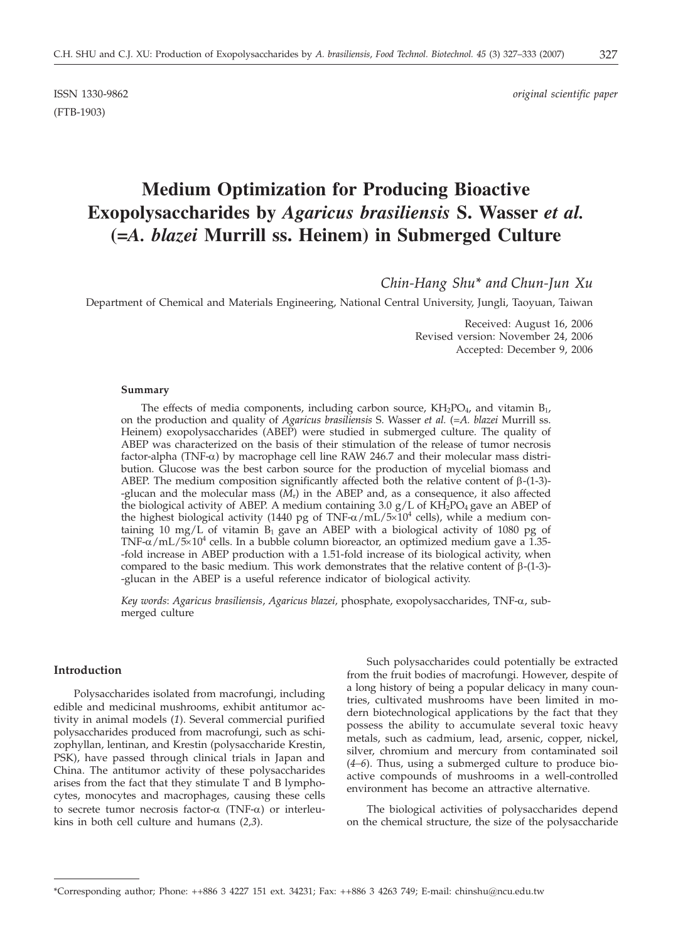(FTB-1903)

ISSN 1330-9862 *original scientific paper*

# **Medium Optimization for Producing Bioactive Exopolysaccharides by** *Agaricus brasiliensis* **S. Wasser** *et al.* **(=***A. blazei* **Murrill ss. Heinem) in Submerged Culture**

*Chin-Hang Shu\* and Chun-Jun Xu*

Department of Chemical and Materials Engineering, National Central University, Jungli, Taoyuan, Taiwan

Received: August 16, 2006 Revised version: November 24, 2006 Accepted: December 9, 2006

#### **Summary**

The effects of media components, including carbon source,  $KH_2PO_4$ , and vitamin  $B_1$ , on the production and quality of *Agaricus brasiliensis* S. Wasser *et al.* (=*A. blazei* Murrill ss. Heinem) exopolysaccharides (ABEP) were studied in submerged culture. The quality of ABEP was characterized on the basis of their stimulation of the release of tumor necrosis factor-alpha (TNF- $\alpha$ ) by macrophage cell line RAW 246.7 and their molecular mass distribution. Glucose was the best carbon source for the production of mycelial biomass and ABEP. The medium composition significantly affected both the relative content of  $\beta$ -(1-3)--glucan and the molecular mass (*M*r) in the ABEP and, as a consequence, it also affected the biological activity of ABEP. A medium containing 3.0  $g/L$  of KH<sub>2</sub>PO<sub>4</sub> gave an ABEP of the highest biological activity (1440 pg of TNF- $\alpha$ /mL/5 $\times$ 10<sup>4</sup> cells), while a medium containing 10 mg/L of vitamin  $B_1$  gave an ABEP with a biological activity of 1080 pg of TNF- $\alpha$ /mL/5 $\times$ 10<sup>4</sup> cells. In a bubble column bioreactor, an optimized medium gave a 1.35--fold increase in ABEP production with a 1.51-fold increase of its biological activity, when compared to the basic medium. This work demonstrates that the relative content of  $\beta$ -(1-3)--glucan in the ABEP is a useful reference indicator of biological activity.

*Key words*: *Agaricus brasiliensis*, *Agaricus blazei,* phosphate, exopolysaccharides, TNF-a, submerged culture

## **Introduction**

Polysaccharides isolated from macrofungi, including edible and medicinal mushrooms, exhibit antitumor activity in animal models (*1*). Several commercial purified polysaccharides produced from macrofungi, such as schizophyllan, lentinan, and Krestin (polysaccharide Krestin, PSK), have passed through clinical trials in Japan and China. The antitumor activity of these polysaccharides arises from the fact that they stimulate T and B lymphocytes, monocytes and macrophages, causing these cells to secrete tumor necrosis factor- $\alpha$  (TNF- $\alpha$ ) or interleukins in both cell culture and humans (*2,3*).

Such polysaccharides could potentially be extracted from the fruit bodies of macrofungi. However, despite of a long history of being a popular delicacy in many countries, cultivated mushrooms have been limited in modern biotechnological applications by the fact that they possess the ability to accumulate several toxic heavy metals, such as cadmium, lead, arsenic, copper, nickel, silver, chromium and mercury from contaminated soil (*4–6*). Thus, using a submerged culture to produce bioactive compounds of mushrooms in a well-controlled environment has become an attractive alternative.

The biological activities of polysaccharides depend on the chemical structure, the size of the polysaccharide

<sup>\*</sup>Corresponding author; Phone: ++886 3 4227 151 ext. 34231; Fax: ++886 3 4263 749; E-mail: chinshu*@*ncu.edu.tw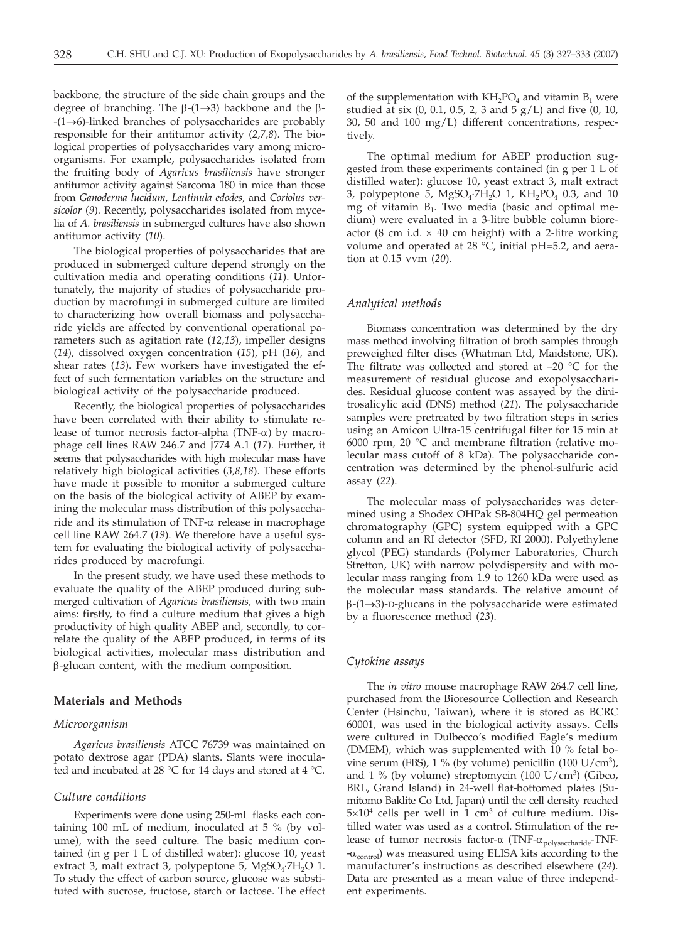backbone, the structure of the side chain groups and the degree of branching. The  $\beta$ -(1 $\rightarrow$ 3) backbone and the  $\beta$ - $-(1 \rightarrow 6)$ -linked branches of polysaccharides are probably responsible for their antitumor activity (*2,7,8*). The biological properties of polysaccharides vary among microorganisms. For example, polysaccharides isolated from the fruiting body of *Agaricus brasiliensis* have stronger antitumor activity against Sarcoma 180 in mice than those from *Ganoderma lucidum, Lentinula edodes,* and *Coriolus versicolor* (*9*). Recently, polysaccharides isolated from mycelia of *A. brasiliensis* in submerged cultures have also shown antitumor activity (*10*).

The biological properties of polysaccharides that are produced in submerged culture depend strongly on the cultivation media and operating conditions (*11*). Unfortunately, the majority of studies of polysaccharide production by macrofungi in submerged culture are limited to characterizing how overall biomass and polysaccharide yields are affected by conventional operational parameters such as agitation rate (*12,13*), impeller designs (*14*), dissolved oxygen concentration (*15*), pH (*16*), and shear rates (*13*). Few workers have investigated the effect of such fermentation variables on the structure and biological activity of the polysaccharide produced.

Recently, the biological properties of polysaccharides have been correlated with their ability to stimulate release of tumor necrosis factor-alpha (TNF- $\alpha$ ) by macrophage cell lines RAW 246.7 and J774 A.1 (*17*). Further, it seems that polysaccharides with high molecular mass have relatively high biological activities (*3,8,18*). These efforts have made it possible to monitor a submerged culture on the basis of the biological activity of ABEP by examining the molecular mass distribution of this polysaccharide and its stimulation of TNF- $\alpha$  release in macrophage cell line RAW 264.7 (*19*). We therefore have a useful system for evaluating the biological activity of polysaccharides produced by macrofungi.

In the present study, we have used these methods to evaluate the quality of the ABEP produced during submerged cultivation of *Agaricus brasiliensis*, with two main aims: firstly, to find a culture medium that gives a high productivity of high quality ABEP and, secondly, to correlate the quality of the ABEP produced, in terms of its biological activities, molecular mass distribution and b-glucan content, with the medium composition.

# **Materials and Methods**

## *Microorganism*

*Agaricus brasiliensis* ATCC 76739 was maintained on potato dextrose agar (PDA) slants. Slants were inoculated and incubated at 28 °C for 14 days and stored at 4 °C.

#### *Culture conditions*

Experiments were done using 250-mL flasks each containing 100 mL of medium, inoculated at 5 % (by volume), with the seed culture. The basic medium contained (in g per 1 L of distilled water): glucose 10, yeast extract 3, malt extract 3, polypeptone 5,  $MgSO_4$ ·7H<sub>2</sub>O 1. To study the effect of carbon source, glucose was substituted with sucrose, fructose, starch or lactose. The effect

of the supplementation with  $KH_2PO_4$  and vitamin  $B_1$  were studied at six  $(0, 0.1, 0.5, 2, 3$  and  $5 g/L$ ) and five  $(0, 10, 1)$ 30, 50 and 100 mg/L) different concentrations, respectively.

The optimal medium for ABEP production suggested from these experiments contained (in g per 1 L of distilled water): glucose 10, yeast extract 3, malt extract 3, polypeptone 5,  $MgSO_4$ -7H<sub>2</sub>O 1,  $KH_2PO_4$  0.3, and 10 mg of vitamin  $B_1$ . Two media (basic and optimal medium) were evaluated in a 3-litre bubble column bioreactor (8 cm i.d.  $\times$  40 cm height) with a 2-litre working volume and operated at 28  $\degree$ C, initial pH=5.2, and aeration at 0.15 vvm (*20*).

#### *Analytical methods*

Biomass concentration was determined by the dry mass method involving filtration of broth samples through preweighed filter discs (Whatman Ltd, Maidstone, UK). The filtrate was collected and stored at  $-20$  °C for the measurement of residual glucose and exopolysaccharides. Residual glucose content was assayed by the dinitrosalicylic acid (DNS) method (*21*). The polysaccharide samples were pretreated by two filtration steps in series using an Amicon Ultra-15 centrifugal filter for 15 min at 6000 rpm, 20 °C and membrane filtration (relative molecular mass cutoff of 8 kDa). The polysaccharide concentration was determined by the phenol-sulfuric acid assay (*22*).

The molecular mass of polysaccharides was determined using a Shodex OHPak SB-804HQ gel permeation chromatography (GPC) system equipped with a GPC column and an RI detector (SFD, RI 2000). Polyethylene glycol (PEG) standards (Polymer Laboratories, Church Stretton, UK) with narrow polydispersity and with molecular mass ranging from 1.9 to 1260 kDa were used as the molecular mass standards. The relative amount of  $\beta$ -(1 $\rightarrow$ 3)-D-glucans in the polysaccharide were estimated by a fluorescence method (*23*).

## *Cytokine assays*

The *in vitro* mouse macrophage RAW 264.7 cell line, purchased from the Bioresource Collection and Research Center (Hsinchu, Taiwan), where it is stored as BCRC 60001, was used in the biological activity assays. Cells were cultured in Dulbecco's modified Eagle's medium (DMEM), which was supplemented with 10 % fetal bovine serum (FBS), 1 % (by volume) penicillin (100 U/cm<sup>3</sup>), and 1 % (by volume) streptomycin (100  $U/cm^3$ ) (Gibco, BRL, Grand Island) in 24-well flat-bottomed plates (Sumitomo Baklite Co Ltd, Japan) until the cell density reached  $5\times10^4$  cells per well in 1 cm<sup>3</sup> of culture medium. Distilled water was used as a control. Stimulation of the release of tumor necrosis factor- $\alpha$  (TNF- $\alpha$ <sub>polysaccharide</sub>-TNF- $-\alpha_{control}$ ) was measured using ELISA kits according to the manufacturer's instructions as described elsewhere (*24*). Data are presented as a mean value of three independent experiments.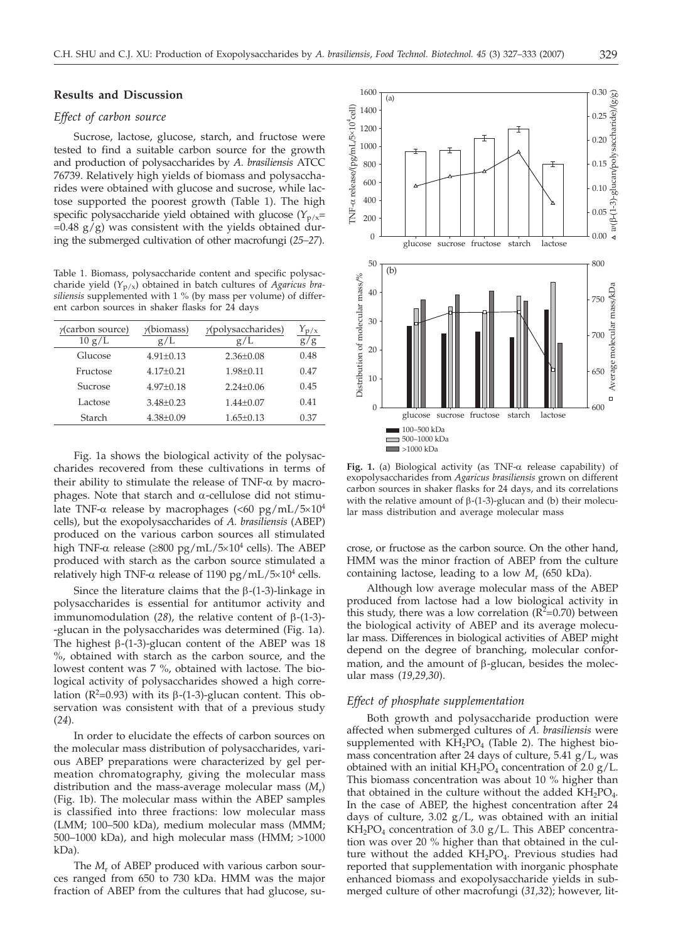## **Results and Discussion**

#### *Effect of carbon source*

Sucrose, lactose, glucose, starch, and fructose were tested to find a suitable carbon source for the growth and production of polysaccharides by *A. brasiliensis* ATCC 76739. Relatively high yields of biomass and polysaccharides were obtained with glucose and sucrose, while lactose supported the poorest growth (Table 1). The high specific polysaccharide yield obtained with glucose  $(Y_{p/x}=$  $=0.48$  g/g) was consistent with the yields obtained during the submerged cultivation of other macrofungi (*25–27*).

Table 1. Biomass, polysaccharide content and specific polysaccharide yield (*Y*p/x) obtained in batch cultures of *Agaricus brasiliensis* supplemented with 1 % (by mass per volume) of different carbon sources in shaker flasks for 24 days

| $\gamma$ (carbon source)<br>10 g/L | $\gamma$ (biomass)<br>g/L | $\gamma$ (polysaccharides)<br>g/L | 'g   |
|------------------------------------|---------------------------|-----------------------------------|------|
| Glucose                            | $4.91 \pm 0.13$           | $2.36 \pm 0.08$                   | 0.48 |
| Fructose                           | $4.17 \pm 0.21$           | $1.98 \pm 0.11$                   | 0.47 |
| Sucrose                            | $4.97 \pm 0.18$           | $2.24 \pm 0.06$                   | 0.45 |
| Lactose                            | $3.48 \pm 0.23$           | $1.44 \pm 0.07$                   | 0.41 |
| Starch                             | $4.38 \pm 0.09$           | $1.65 \pm 0.13$                   | 0.37 |

Fig. 1a shows the biological activity of the polysaccharides recovered from these cultivations in terms of their ability to stimulate the release of TNF- $\alpha$  by macrophages. Note that starch and  $\alpha$ -cellulose did not stimulate TNF- $\alpha$  release by macrophages (<60 pg/mL/5 $\times$ 10<sup>4</sup> cells), but the exopolysaccharides of *A. brasiliensis* (ABEP) produced on the various carbon sources all stimulated high TNF- $\alpha$  release ( $\geq 800$  pg/mL/5 $\times 10^4$  cells). The ABEP produced with starch as the carbon source stimulated a relatively high TNF- $\alpha$  release of 1190 pg/mL/5 $\times$ 10<sup>4</sup> cells.

Since the literature claims that the  $\beta$ -(1-3)-linkage in polysaccharides is essential for antitumor activity and immunomodulation (28), the relative content of  $\beta$ -(1-3)--glucan in the polysaccharides was determined (Fig. 1a). The highest  $\beta$ -(1-3)-glucan content of the ABEP was 18 %, obtained with starch as the carbon source, and the lowest content was 7 %, obtained with lactose. The biological activity of polysaccharides showed a high correlation ( $R^2$ =0.93) with its  $\beta$ -(1-3)-glucan content. This observation was consistent with that of a previous study (*24*).

In order to elucidate the effects of carbon sources on the molecular mass distribution of polysaccharides, various ABEP preparations were characterized by gel permeation chromatography, giving the molecular mass distribution and the mass-average molecular mass (*M*r) (Fig. 1b). The molecular mass within the ABEP samples is classified into three fractions: low molecular mass (LMM; 100–500 kDa), medium molecular mass (MMM; 500–1000 kDa), and high molecular mass (HMM; >1000 kDa).

The  $M_r$  of ABEP produced with various carbon sources ranged from 650 to 730 kDa. HMM was the major fraction of ABEP from the cultures that had glucose, su-



**Fig. 1.** (a) Biological activity (as  $TNF-\alpha$  release capability) of exopolysaccharides from *Agaricus brasiliensis* grown on different carbon sources in shaker flasks for 24 days, and its correlations with the relative amount of  $\beta$ -(1-3)-glucan and (b) their molecular mass distribution and average molecular mass

crose, or fructose as the carbon source. On the other hand, HMM was the minor fraction of ABEP from the culture containing lactose, leading to a low *M*<sup>r</sup> (650 kDa).

Although low average molecular mass of the ABEP produced from lactose had a low biological activity in this study, there was a low correlation  $(R^2=0.70)$  between the biological activity of ABEP and its average molecular mass. Differences in biological activities of ABEP might depend on the degree of branching, molecular conformation, and the amount of  $\beta$ -glucan, besides the molecular mass (*19,29,30*).

# *Effect of phosphate supplementation*

Both growth and polysaccharide production were affected when submerged cultures of *A. brasiliensis* were supplemented with  $KH_2PO_4$  (Table 2). The highest biomass concentration after 24 days of culture,  $5.41$  g/L, was obtained with an initial  $KH_2PO_4$  concentration of 2.0 g/L. This biomass concentration was about 10 % higher than that obtained in the culture without the added  $KH_2PO_4$ . In the case of ABEP, the highest concentration after 24 days of culture, 3.02  $g/L$ , was obtained with an initial  $KH<sub>2</sub>PO<sub>4</sub> concentration of 3.0 g/L. This ABEP concentration$ tion was over 20 % higher than that obtained in the culture without the added KH<sub>2</sub>PO<sub>4</sub>. Previous studies had reported that supplementation with inorganic phosphate enhanced biomass and exopolysaccharide yields in submerged culture of other macrofungi (*31,32*); however, lit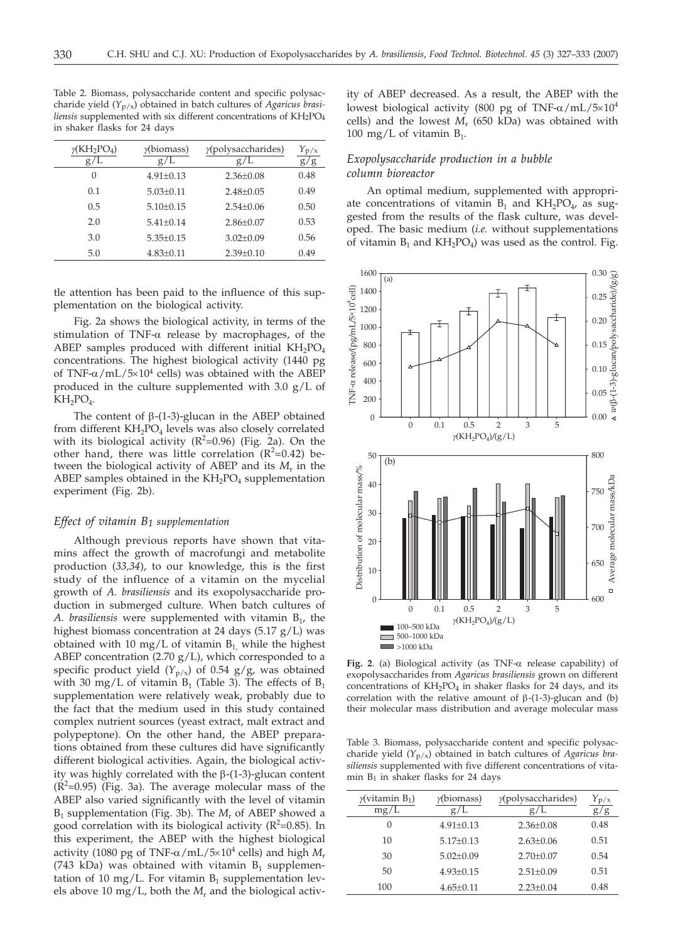Table 2. Biomass, polysaccharide content and specific polysaccharide yield (*Y*p/x) obtained in batch cultures of *Agaricus brasiliensis* supplemented with six different concentrations of KH2PO4 in shaker flasks for 24 days

| $\gamma$ (KH <sub>2</sub> PO <sub>4</sub> )<br>g/L | $\gamma$ (biomass)<br>g/L | $y$ (polysaccharides)<br>g/L | $Y_{\rm p/x}$<br>g/g |
|----------------------------------------------------|---------------------------|------------------------------|----------------------|
| $\left( \right)$                                   | $4.91 \pm 0.13$           | $2.36 \pm 0.08$              | 0.48                 |
| 0.1                                                | $5.03 \pm 0.11$           | $2.48 \pm 0.05$              | 0.49                 |
| 0.5                                                | $5.10 \pm 0.15$           | $2.54+0.06$                  | 0.50                 |
| 2.0                                                | $5.41 + 0.14$             | $2.86 \pm 0.07$              | 0.53                 |
| 3.0                                                | $5.35 \pm 0.15$           | $3.02 \pm 0.09$              | 0.56                 |
| 5.0                                                | $4.83 \pm 0.11$           | $2.39 \pm 0.10$              | 0.49                 |

tle attention has been paid to the influence of this supplementation on the biological activity.

Fig. 2a shows the biological activity, in terms of the stimulation of TNF- $\alpha$  release by macrophages, of the ABEP samples produced with different initial  $KH_2PO_4$ concentrations. The highest biological activity (1440 pg of TNF- $\alpha$ /mL/5×10<sup>4</sup> cells) was obtained with the ABEP produced in the culture supplemented with 3.0 g/L of  $KH_2PO_4$ .

The content of  $\beta$ -(1-3)-glucan in the ABEP obtained from different  $KH_2PO_4$  levels was also closely correlated with its biological activity ( $R^2$ =0.96) (Fig. 2a). On the other hand, there was little correlation  $(R^2=0.42)$  between the biological activity of ABEP and its *M*<sup>r</sup> in the ABEP samples obtained in the  $KH_2PO_4$  supplementation experiment (Fig. 2b).

## *Effect of vitamin B1 supplementation*

Although previous reports have shown that vitamins affect the growth of macrofungi and metabolite production (*33,34*), to our knowledge, this is the first study of the influence of a vitamin on the mycelial growth of *A. brasiliensis* and its exopolysaccharide production in submerged culture. When batch cultures of *A. brasiliensis* were supplemented with vitamin  $B_{1}$ , the highest biomass concentration at 24 days (5.17 g/L) was obtained with 10 mg/L of vitamin  $B_1$ , while the highest ABEP concentration (2.70  $g/L$ ), which corresponded to a specific product yield  $(Y_{p/x})$  of 0.54 g/g, was obtained with 30 mg/L of vitamin  $B_1$  (Table 3). The effects of  $B_1$ supplementation were relatively weak, probably due to the fact that the medium used in this study contained complex nutrient sources (yeast extract, malt extract and polypeptone). On the other hand, the ABEP preparations obtained from these cultures did have significantly different biological activities. Again, the biological activity was highly correlated with the  $\beta$ -(1-3)-glucan content  $(R<sup>2</sup>=0.95)$  (Fig. 3a). The average molecular mass of the ABEP also varied significantly with the level of vitamin B1 supplementation (Fig. 3b). The *M*<sup>r</sup> of ABEP showed a good correlation with its biological activity ( $R^2$ =0.85). In this experiment, the ABEP with the highest biological activity (1080 pg of TNF- $\alpha$ /mL/5×10<sup>4</sup> cells) and high *M*<sub>r</sub> (743 kDa) was obtained with vitamin  $B_1$  supplementation of 10 mg/L. For vitamin  $B_1$  supplementation levels above 10 mg/L, both the *M*<sup>r</sup> and the biological activity of ABEP decreased. As a result, the ABEP with the lowest biological activity (800 pg of TNF- $\alpha$ /mL/5 $\times$ 10<sup>4</sup> cells) and the lowest *M*<sup>r</sup> (650 kDa) was obtained with 100 mg/L of vitamin  $B_1$ .

# *Exopolysaccharide production in a bubble column bioreactor*

An optimal medium, supplemented with appropriate concentrations of vitamin  $B_1$  and  $KH_2PO_4$ , as suggested from the results of the flask culture, was developed. The basic medium (*i.e.* without supplementations of vitamin  $B_1$  and  $KH_2PO_4$ ) was used as the control. Fig.



Fig. 2. (a) Biological activity (as  $TNF-\alpha$  release capability) of exopolysaccharides from *Agaricus brasiliensis* grown on different concentrations of  $KH_2PO_4$  in shaker flasks for 24 days, and its correlation with the relative amount of  $\beta$ -(1-3)-glucan and (b) their molecular mass distribution and average molecular mass

Table 3. Biomass, polysaccharide content and specific polysaccharide yield (*Y*p/x) obtained in batch cultures of *Agaricus brasiliensis* supplemented with five different concentrations of vitamin  $B_1$  in shaker flasks for 24 days

| $\gamma$ (vitamin B <sub>1</sub> )<br>mg/L | $\gamma$ (biomass)<br>g/L | $y$ (polysaccharides)<br>g/L | $Y_{\rm p/x}$<br>g |
|--------------------------------------------|---------------------------|------------------------------|--------------------|
| 0                                          | $4.91 \pm 0.13$           | $2.36 \pm 0.08$              | 0.48               |
| 10                                         | $5.17+0.13$               | $2.63 + 0.06$                | 0.51               |
| 30                                         | $5.02 + 0.09$             | $2.70+0.07$                  | 0.54               |
| 50                                         | $4.93 + 0.15$             | $2.51 \pm 0.09$              | 0.51               |
| 100                                        | $4.65 \pm 0.11$           | $2.23 \pm 0.04$              | 0.48               |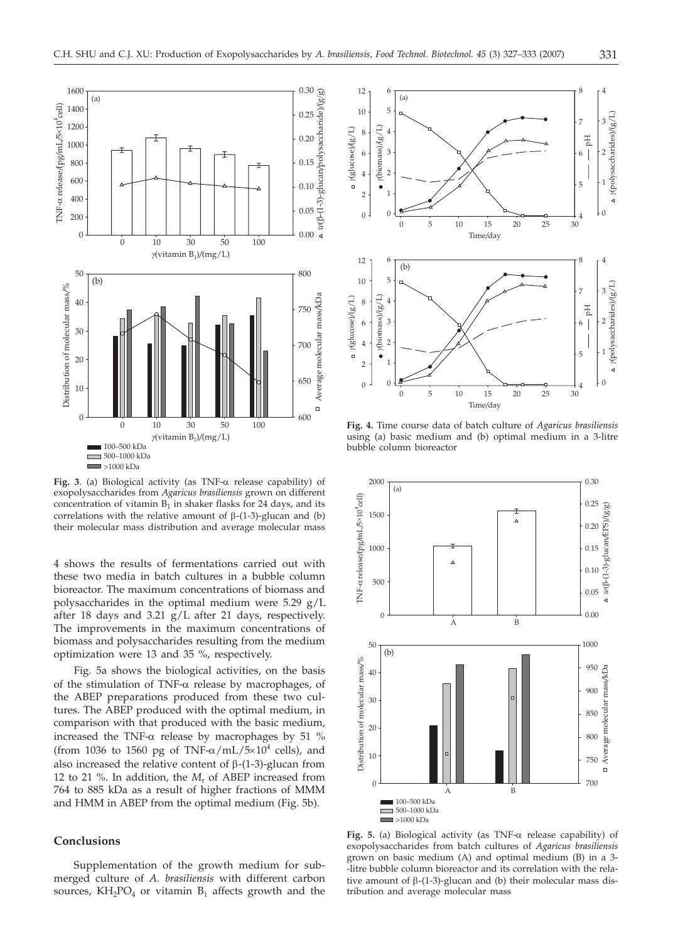

**Fig. 3**. (a) Biological activity (as TNF-a release capability) of exopolysaccharides from *Agaricus brasiliensis* grown on different concentration of vitamin  $B_1$  in shaker flasks for 24 days, and its correlations with the relative amount of  $\beta$ -(1-3)-glucan and (b) their molecular mass distribution and average molecular mass

4 shows the results of fermentations carried out with these two media in batch cultures in a bubble column bioreactor. The maximum concentrations of biomass and polysaccharides in the optimal medium were 5.29 g/L after 18 days and 3.21 g/L after 21 days, respectively. The improvements in the maximum concentrations of biomass and polysaccharides resulting from the medium optimization were 13 and 35 %, respectively.

Fig. 5a shows the biological activities, on the basis of the stimulation of TNF- $\alpha$  release by macrophages, of the ABEP preparations produced from these two cultures. The ABEP produced with the optimal medium, in comparison with that produced with the basic medium, increased the TNF- $\alpha$  release by macrophages by 51 % (from 1036 to 1560 pg of TNF- $\alpha$ /mL/5 $\times$ 10<sup>4</sup> cells), and also increased the relative content of  $\beta$ -(1-3)-glucan from 12 to 21 %. In addition, the *M*<sup>r</sup> of ABEP increased from 764 to 885 kDa as a result of higher fractions of MMM and HMM in ABEP from the optimal medium (Fig. 5b).

# **Conclusions**

Supplementation of the growth medium for submerged culture of *A. brasiliensis* with different carbon sources,  $KH_2PO_4$  or vitamin  $B_1$  affects growth and the



**Fig. 4.** Time course data of batch culture of *Agaricus brasiliensis* using (a) basic medium and (b) optimal medium in a 3-litre bubble column bioreactor



**Fig. 5.** (a) Biological activity (as  $TNF-\alpha$  release capability) of exopolysaccharides from batch cultures of *Agaricus brasiliensis* grown on basic medium (A) and optimal medium (B) in a 3- -litre bubble column bioreactor and its correlation with the relative amount of  $\beta$ -(1-3)-glucan and (b) their molecular mass distribution and average molecular mass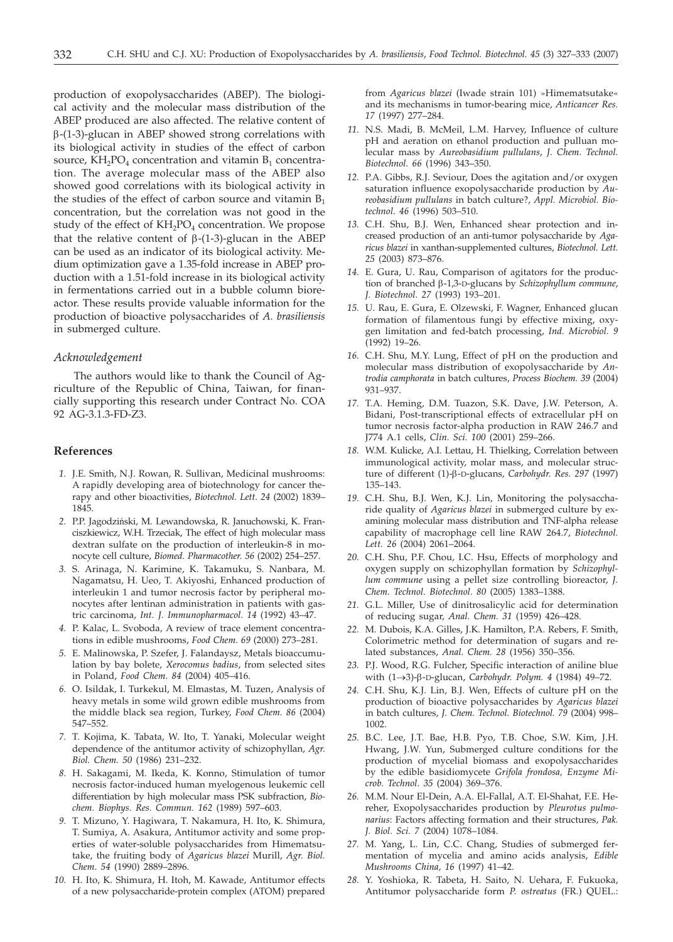production of exopolysaccharides (ABEP). The biological activity and the molecular mass distribution of the ABEP produced are also affected. The relative content of  $\beta$ -(1-3)-glucan in ABEP showed strong correlations with its biological activity in studies of the effect of carbon source,  $KH_2PO_4$  concentration and vitamin  $B_1$  concentration. The average molecular mass of the ABEP also showed good correlations with its biological activity in the studies of the effect of carbon source and vitamin  $B_1$ concentration, but the correlation was not good in the study of the effect of  $KH_2PO_4$  concentration. We propose that the relative content of  $\beta$ -(1-3)-glucan in the ABEP can be used as an indicator of its biological activity. Medium optimization gave a 1.35-fold increase in ABEP production with a 1.51-fold increase in its biological activity in fermentations carried out in a bubble column bioreactor. These results provide valuable information for the production of bioactive polysaccharides of *A. brasiliensis* in submerged culture.

#### *Acknowledgement*

The authors would like to thank the Council of Agriculture of the Republic of China, Taiwan, for financially supporting this research under Contract No. COA 92 AG-3.1.3-FD-Z3.

## **References**

- *1.* J.E. Smith, N.J. Rowan, R. Sullivan, Medicinal mushrooms: A rapidly developing area of biotechnology for cancer therapy and other bioactivities, *Biotechnol. Lett. 24* (2002) 1839– 1845.
- *2.* P.P. Jagodzi*ñ*ski, M. Lewandowska, R. Januchowski, K. Franciszkiewicz, W.H. Trzeciak, The effect of high molecular mass dextran sulfate on the production of interleukin-8 in monocyte cell culture, *Biomed. Pharmacother. 56* (2002) 254–257.
- *3.* S. Arinaga, N. Karimine, K. Takamuku, S. Nanbara, M. Nagamatsu, H. Ueo, T. Akiyoshi, Enhanced production of interleukin 1 and tumor necrosis factor by peripheral monocytes after lentinan administration in patients with gastric carcinoma, *Int. J. Immunopharmacol. 14* (1992) 43–47.
- *4.* P. Kalac, L. Svoboda, A review of trace element concentrations in edible mushrooms, *Food Chem. 69* (2000) 273–281.
- *5.* E. Malinowska, P. Szefer, J. Falandaysz, Metals bioaccumulation by bay bolete, *Xerocomus badius*, from selected sites in Poland, *Food Chem. 84* (2004) 405–416.
- *6.* O. Isildak, I. Turkekul, M. Elmastas, M. Tuzen, Analysis of heavy metals in some wild grown edible mushrooms from the middle black sea region, Turkey, *Food Chem. 86* (2004) 547–552.
- *7.* T. Kojima, K. Tabata, W. Ito, T. Yanaki, Molecular weight dependence of the antitumor activity of schizophyllan, *Agr. Biol. Chem. 50* (1986) 231–232.
- *8.* H. Sakagami, M. Ikeda, K. Konno, Stimulation of tumor necrosis factor-induced human myelogenous leukemic cell differentiation by high molecular mass PSK subfraction, *Biochem. Biophys. Res. Commun. 162* (1989) 597–603.
- *9.* T. Mizuno, Y. Hagiwara, T. Nakamura, H. Ito, K. Shimura, T. Sumiya, A. Asakura, Antitumor activity and some properties of water-soluble polysaccharides from Himematsutake, the fruiting body of *Agaricus blazei* Murill, *Agr. Biol. Chem. 54* (1990) 2889–2896.
- *10.* H. Ito, K. Shimura, H. Itoh, M. Kawade, Antitumor effects of a new polysaccharide-protein complex (ATOM) prepared

from *Agaricus blazei* (Iwade strain 101) »Himematsutake« and its mechanisms in tumor-bearing mice, *Anticancer Res. 17* (1997) 277–284.

- *11.* N.S. Madi, B. McMeil, L.M. Harvey, Influence of culture pH and aeration on ethanol production and pulluan molecular mass by *Aureobasidium pullulans*, *J. Chem. Technol. Biotechnol. 66* (1996) 343–350.
- *12.* P.A. Gibbs, R.J. Seviour, Does the agitation and/or oxygen saturation influence exopolysaccharide production by *Aureobasidium pullulans* in batch culture?, *Appl. Microbiol. Biotechnol. 46* (1996) 503–510.
- *13.* C.H. Shu, B.J. Wen, Enhanced shear protection and increased production of an anti-tumor polysaccharide by *Agaricus blazei* in xanthan-supplemented cultures, *Biotechnol. Lett. 25* (2003) 873–876.
- *14.* E. Gura, U. Rau, Comparison of agitators for the production of branched b-1,3-D-glucans by *Schizophyllum commune*, *J. Biotechnol. 27* (1993) 193–201.
- *15.* U. Rau, E. Gura, E. Olzewski, F. Wagner, Enhanced glucan formation of filamentous fungi by effective mixing, oxygen limitation and fed-batch processing, *Ind. Microbiol. 9* (1992) 19–26.
- *16.* C.H. Shu, M.Y. Lung, Effect of pH on the production and molecular mass distribution of exopolysaccharide by *Antrodia camphorata* in batch cultures, *Process Biochem. 39* (2004) 931–937.
- *17.* T.A. Heming, D.M. Tuazon, S.K. Dave, J.W. Peterson, A. Bidani, Post-transcriptional effects of extracellular pH on tumor necrosis factor-alpha production in RAW 246.7 and J774 A.1 cells, *Clin. Sci. 100* (2001) 259–266.
- *18.* W.M. Kulicke, A.I. Lettau, H. Thielking, Correlation between immunological activity, molar mass, and molecular structure of different (1)-b-D-glucans*, Carbohydr. Res. 297* (1997) 135–143.
- *19.* C.H. Shu, B.J. Wen, K.J. Lin, Monitoring the polysaccharide quality of *Agaricus blazei* in submerged culture by examining molecular mass distribution and TNF-alpha release capability of macrophage cell line RAW 264.7, *Biotechnol. Lett. 26* (2004) 2061–2064.
- *20.* C.H. Shu, P.F. Chou, I.C. Hsu, Effects of morphology and oxygen supply on schizophyllan formation by *Schizophyllum commune* using a pellet size controlling bioreactor, *J. Chem. Technol. Biotechnol. 80* (2005) 1383–1388.
- *21.* G.L. Miller, Use of dinitrosalicylic acid for determination of reducing sugar, *Anal. Chem. 31* (1959) 426–428.
- *22.* M. Dubois, K.A. Gilles, J.K. Hamilton, P.A. Rebers, F. Smith, Colorimetric method for determination of sugars and related substances, *Anal. Chem. 28* (1956) 350–356.
- *23.* P.J. Wood, R.G. Fulcher, Specific interaction of aniline blue with (1→3)-β-D-glucan, *Carbohydr. Polym.* 4 (1984) 49-72.
- *24.* C.H. Shu, K.J. Lin, B.J. Wen, Effects of culture pH on the production of bioactive polysaccharides by *Agaricus blazei* in batch cultures, *J. Chem. Technol. Biotechnol. 79* (2004) 998– 1002.
- *25.* B.C. Lee, J.T. Bae, H.B. Pyo, T.B. Choe, S.W. Kim, J.H. Hwang, J.W. Yun, Submerged culture conditions for the production of mycelial biomass and exopolysaccharides by the edible basidiomycete *Grifola frondosa, Enzyme Microb. Technol*. *35* (2004) 369–376.
- *26.* M.M. Nour El-Dein, A.A. El-Fallal, A.T. El-Shahat, F.E. Hereher, Exopolysaccharides production by *Pleurotus pulmonarius*: Factors affecting formation and their structures, *Pak. J. Biol. Sci. 7* (2004) 1078–1084.
- *27.* M. Yang, L. Lin, C.C. Chang, Studies of submerged fermentation of mycelia and amino acids analysis, *Edible Mushrooms China, 16* (1997) 41–42.
- *28.* Y. Yoshioka, R. Tabeta, H. Saito, N. Uehara, F. Fukuoka, Antitumor polysaccharide form *P. ostreatus* (FR.) QUEL.: